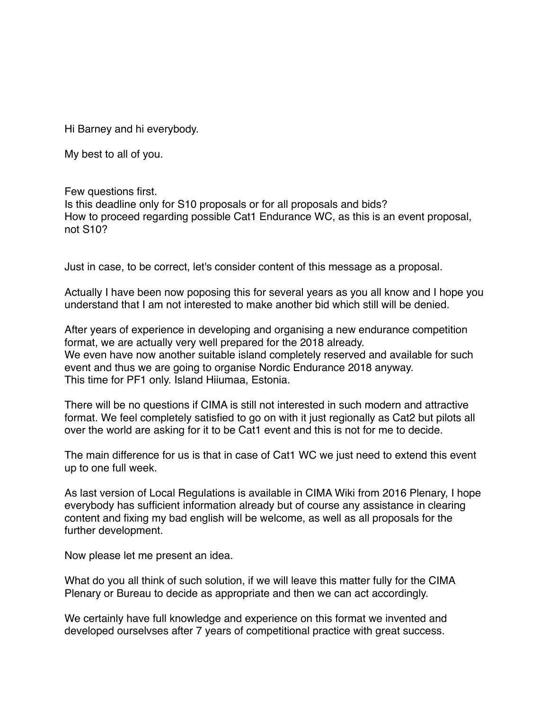Hi Barney and hi everybody.

My best to all of you.

## Few questions first.

Is this deadline only for S10 proposals or for all proposals and bids? How to proceed regarding possible Cat1 Endurance WC, as this is an event proposal, not S10?

Just in case, to be correct, let's consider content of this message as a proposal.

Actually I have been now poposing this for several years as you all know and I hope you understand that I am not interested to make another bid which still will be denied.

After years of experience in developing and organising a new endurance competition format, we are actually very well prepared for the 2018 already. We even have now another suitable island completely reserved and available for such event and thus we are going to organise Nordic Endurance 2018 anyway. This time for PF1 only. Island Hiiumaa, Estonia.

There will be no questions if CIMA is still not interested in such modern and attractive format. We feel completely satisfied to go on with it just regionally as Cat2 but pilots all over the world are asking for it to be Cat1 event and this is not for me to decide.

The main difference for us is that in case of Cat1 WC we just need to extend this event up to one full week.

As last version of Local Regulations is available in CIMA Wiki from 2016 Plenary, I hope everybody has sufficient information already but of course any assistance in clearing content and fixing my bad english will be welcome, as well as all proposals for the further development.

Now please let me present an idea.

What do you all think of such solution, if we will leave this matter fully for the CIMA Plenary or Bureau to decide as appropriate and then we can act accordingly.

We certainly have full knowledge and experience on this format we invented and developed ourselvses after 7 years of competitional practice with great success.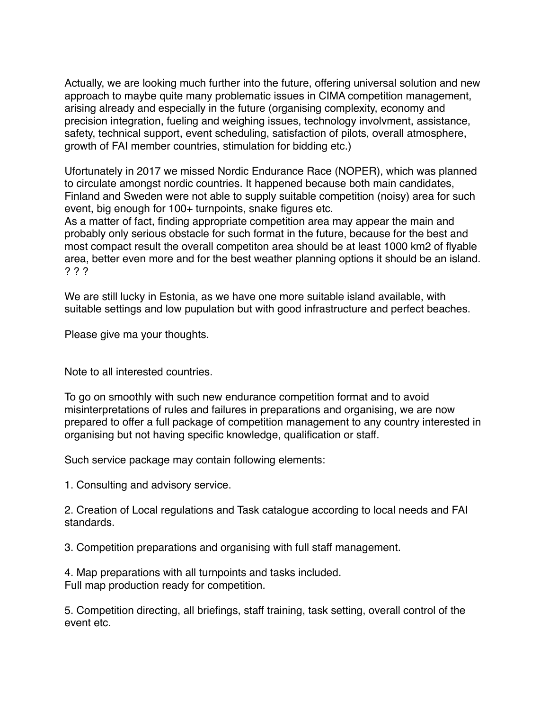Actually, we are looking much further into the future, offering universal solution and new approach to maybe quite many problematic issues in CIMA competition management, arising already and especially in the future (organising complexity, economy and precision integration, fueling and weighing issues, technology involvment, assistance, safety, technical support, event scheduling, satisfaction of pilots, overall atmosphere, growth of FAI member countries, stimulation for bidding etc.)

Ufortunately in 2017 we missed Nordic Endurance Race (NOPER), which was planned to circulate amongst nordic countries. It happened because both main candidates, Finland and Sweden were not able to supply suitable competition (noisy) area for such event, big enough for 100+ turnpoints, snake figures etc.

As a matter of fact, finding appropriate competition area may appear the main and probably only serious obstacle for such format in the future, because for the best and most compact result the overall competiton area should be at least 1000 km2 of flyable area, better even more and for the best weather planning options it should be an island. ? ? ?

We are still lucky in Estonia, as we have one more suitable island available, with suitable settings and low pupulation but with good infrastructure and perfect beaches.

Please give ma your thoughts.

Note to all interested countries.

To go on smoothly with such new endurance competition format and to avoid misinterpretations of rules and failures in preparations and organising, we are now prepared to offer a full package of competition management to any country interested in organising but not having specific knowledge, qualification or staff.

Such service package may contain following elements:

1. Consulting and advisory service.

2. Creation of Local regulations and Task catalogue according to local needs and FAI standards.

3. Competition preparations and organising with full staff management.

4. Map preparations with all turnpoints and tasks included. Full map production ready for competition.

5. Competition directing, all briefings, staff training, task setting, overall control of the event etc.